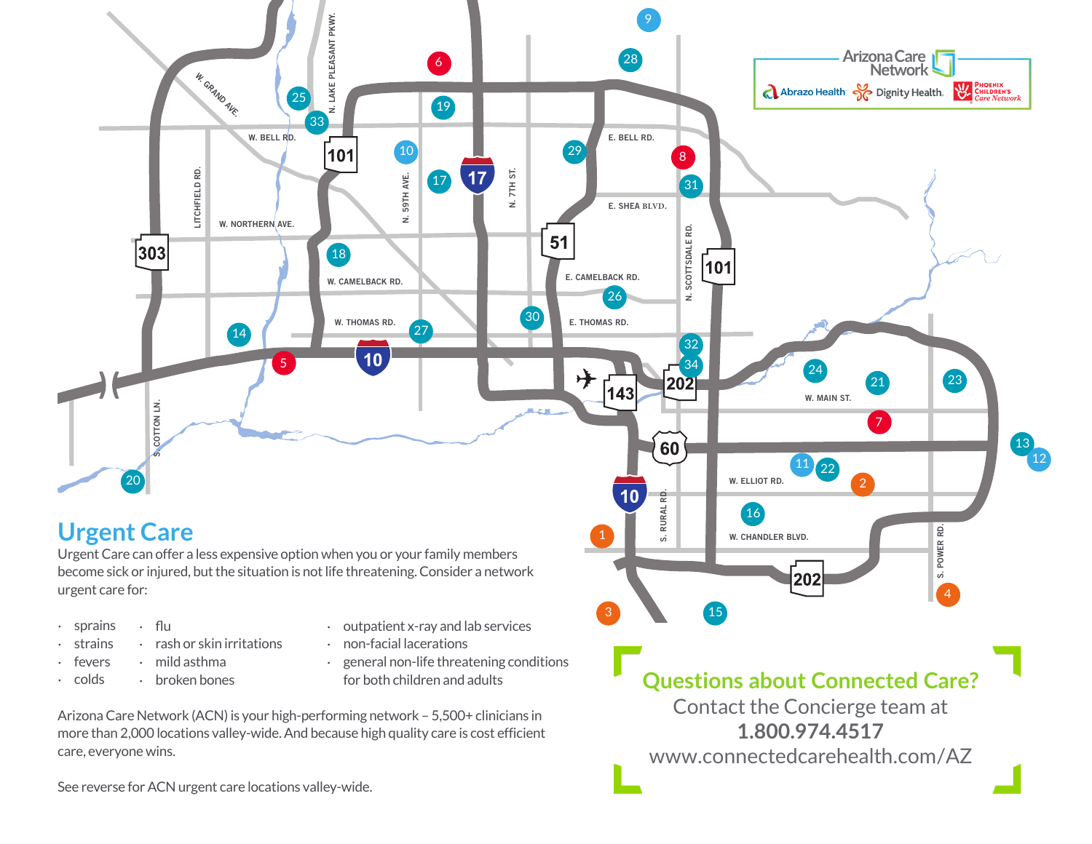

Contact the Concierge team at **1.800.974.4517** www.connectedcarehealth.com/AZ

Arizona Care Network (ACN) is your high-performing network – 5,500+ clinicians in more than 2,000 locations valley-wide. And because high quality care is cost efficient care, everyone wins.

See reverse for ACN urgent care locations valley-wide.

for both children and adults